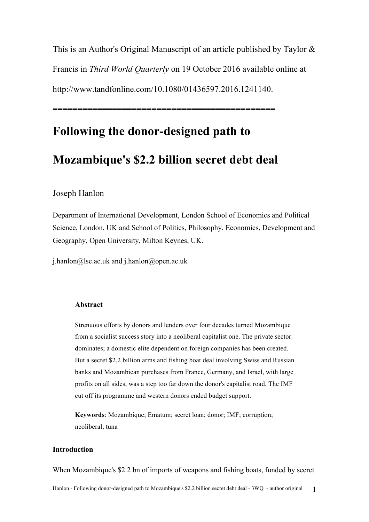This is an Author's Original Manuscript of an article published by Taylor & Francis in *Third World Quarterly* on 19 October 2016 available online at http://www.tandfonline.com/10.1080/01436597.2016.1241140.

# **Following the donor-designed path to**

# **Mozambique's \$2.2 billion secret debt deal**

**=============================================**

# Joseph Hanlon

Department of International Development, London School of Economics and Political Science, London, UK and School of Politics, Philosophy, Economics, Development and Geography, Open University, Milton Keynes, UK.

j.hanlon@lse.ac.uk and j.hanlon@open.ac.uk

# **Abstract**

Strenuous efforts by donors and lenders over four decades turned Mozambique from a socialist success story into a neoliberal capitalist one. The private sector dominates; a domestic elite dependent on foreign companies has been created. But a secret \$2.2 billion arms and fishing boat deal involving Swiss and Russian banks and Mozambican purchases from France, Germany, and Israel, with large profits on all sides, was a step too far down the donor's capitalist road. The IMF cut off its programme and western donors ended budget support.

**Keywords**: Mozambique; Ematum; secret loan; donor; IMF; corruption; neoliberal; tuna

# **Introduction**

When Mozambique's \$2.2 bn of imports of weapons and fishing boats, funded by secret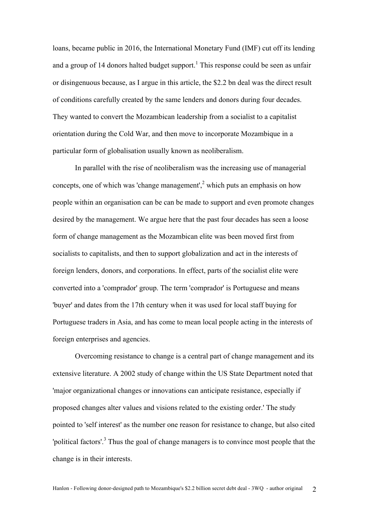loans, became public in 2016, the International Monetary Fund (IMF) cut off its lending and a group of 14 donors halted budget support.<sup>1</sup> This response could be seen as unfair or disingenuous because, as I argue in this article, the \$2.2 bn deal was the direct result of conditions carefully created by the same lenders and donors during four decades. They wanted to convert the Mozambican leadership from a socialist to a capitalist orientation during the Cold War, and then move to incorporate Mozambique in a particular form of globalisation usually known as neoliberalism.

In parallel with the rise of neoliberalism was the increasing use of managerial concepts, one of which was 'change management',<sup>2</sup> which puts an emphasis on how people within an organisation can be can be made to support and even promote changes desired by the management. We argue here that the past four decades has seen a loose form of change management as the Mozambican elite was been moved first from socialists to capitalists, and then to support globalization and act in the interests of foreign lenders, donors, and corporations. In effect, parts of the socialist elite were converted into a 'comprador' group. The term 'comprador' is Portuguese and means 'buyer' and dates from the 17th century when it was used for local staff buying for Portuguese traders in Asia, and has come to mean local people acting in the interests of foreign enterprises and agencies.

Overcoming resistance to change is a central part of change management and its extensive literature. A 2002 study of change within the US State Department noted that 'major organizational changes or innovations can anticipate resistance, especially if proposed changes alter values and visions related to the existing order.' The study pointed to 'self interest' as the number one reason for resistance to change, but also cited 'political factors'.<sup>3</sup> Thus the goal of change managers is to convince most people that the change is in their interests.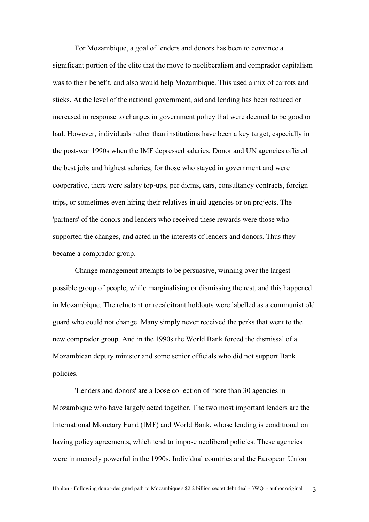For Mozambique, a goal of lenders and donors has been to convince a significant portion of the elite that the move to neoliberalism and comprador capitalism was to their benefit, and also would help Mozambique. This used a mix of carrots and sticks. At the level of the national government, aid and lending has been reduced or increased in response to changes in government policy that were deemed to be good or bad. However, individuals rather than institutions have been a key target, especially in the post-war 1990s when the IMF depressed salaries. Donor and UN agencies offered the best jobs and highest salaries; for those who stayed in government and were cooperative, there were salary top-ups, per diems, cars, consultancy contracts, foreign trips, or sometimes even hiring their relatives in aid agencies or on projects. The 'partners' of the donors and lenders who received these rewards were those who supported the changes, and acted in the interests of lenders and donors. Thus they became a comprador group.

Change management attempts to be persuasive, winning over the largest possible group of people, while marginalising or dismissing the rest, and this happened in Mozambique. The reluctant or recalcitrant holdouts were labelled as a communist old guard who could not change. Many simply never received the perks that went to the new comprador group. And in the 1990s the World Bank forced the dismissal of a Mozambican deputy minister and some senior officials who did not support Bank policies.

'Lenders and donors' are a loose collection of more than 30 agencies in Mozambique who have largely acted together. The two most important lenders are the International Monetary Fund (IMF) and World Bank, whose lending is conditional on having policy agreements, which tend to impose neoliberal policies. These agencies were immensely powerful in the 1990s. Individual countries and the European Union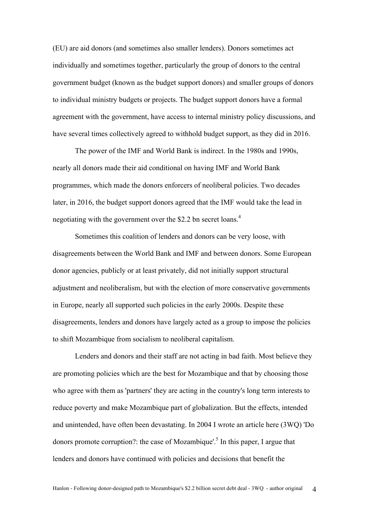(EU) are aid donors (and sometimes also smaller lenders). Donors sometimes act individually and sometimes together, particularly the group of donors to the central government budget (known as the budget support donors) and smaller groups of donors to individual ministry budgets or projects. The budget support donors have a formal agreement with the government, have access to internal ministry policy discussions, and have several times collectively agreed to withhold budget support, as they did in 2016.

The power of the IMF and World Bank is indirect. In the 1980s and 1990s, nearly all donors made their aid conditional on having IMF and World Bank programmes, which made the donors enforcers of neoliberal policies. Two decades later, in 2016, the budget support donors agreed that the IMF would take the lead in negotiating with the government over the \$2.2 bn secret loans.<sup>4</sup>

Sometimes this coalition of lenders and donors can be very loose, with disagreements between the World Bank and IMF and between donors. Some European donor agencies, publicly or at least privately, did not initially support structural adjustment and neoliberalism, but with the election of more conservative governments in Europe, nearly all supported such policies in the early 2000s. Despite these disagreements, lenders and donors have largely acted as a group to impose the policies to shift Mozambique from socialism to neoliberal capitalism.

Lenders and donors and their staff are not acting in bad faith. Most believe they are promoting policies which are the best for Mozambique and that by choosing those who agree with them as 'partners' they are acting in the country's long term interests to reduce poverty and make Mozambique part of globalization. But the effects, intended and unintended, have often been devastating. In 2004 I wrote an article here (3WQ) 'Do donors promote corruption?: the case of Mozambique'.<sup>5</sup> In this paper, I argue that lenders and donors have continued with policies and decisions that benefit the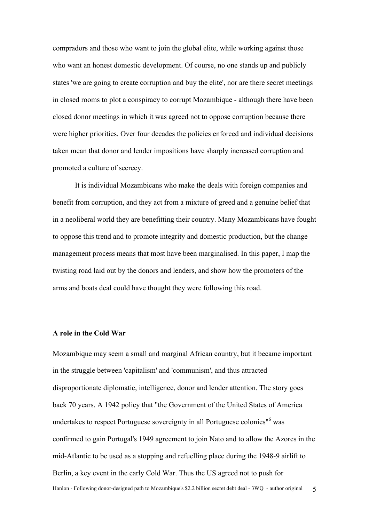compradors and those who want to join the global elite, while working against those who want an honest domestic development. Of course, no one stands up and publicly states 'we are going to create corruption and buy the elite', nor are there secret meetings in closed rooms to plot a conspiracy to corrupt Mozambique - although there have been closed donor meetings in which it was agreed not to oppose corruption because there were higher priorities. Over four decades the policies enforced and individual decisions taken mean that donor and lender impositions have sharply increased corruption and promoted a culture of secrecy.

It is individual Mozambicans who make the deals with foreign companies and benefit from corruption, and they act from a mixture of greed and a genuine belief that in a neoliberal world they are benefitting their country. Many Mozambicans have fought to oppose this trend and to promote integrity and domestic production, but the change management process means that most have been marginalised. In this paper, I map the twisting road laid out by the donors and lenders, and show how the promoters of the arms and boats deal could have thought they were following this road.

# **A role in the Cold War**

Hanlon - Following donor-designed path to Mozambique's \$2.2 billion secret debt deal - 3WQ - author original 5 Mozambique may seem a small and marginal African country, but it became important in the struggle between 'capitalism' and 'communism', and thus attracted disproportionate diplomatic, intelligence, donor and lender attention. The story goes back 70 years. A 1942 policy that "the Government of the United States of America undertakes to respect Portuguese sovereignty in all Portuguese colonies"<sup>6</sup> was confirmed to gain Portugal's 1949 agreement to join Nato and to allow the Azores in the mid-Atlantic to be used as a stopping and refuelling place during the 1948-9 airlift to Berlin, a key event in the early Cold War. Thus the US agreed not to push for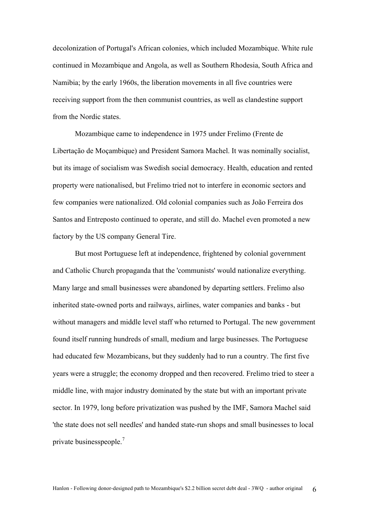decolonization of Portugal's African colonies, which included Mozambique. White rule continued in Mozambique and Angola, as well as Southern Rhodesia, South Africa and Namibia; by the early 1960s, the liberation movements in all five countries were receiving support from the then communist countries, as well as clandestine support from the Nordic states.

Mozambique came to independence in 1975 under Frelimo (Frente de Libertação de Moçambique) and President Samora Machel. It was nominally socialist, but its image of socialism was Swedish social democracy. Health, education and rented property were nationalised, but Frelimo tried not to interfere in economic sectors and few companies were nationalized. Old colonial companies such as João Ferreira dos Santos and Entreposto continued to operate, and still do. Machel even promoted a new factory by the US company General Tire.

But most Portuguese left at independence, frightened by colonial government and Catholic Church propaganda that the 'communists' would nationalize everything. Many large and small businesses were abandoned by departing settlers. Frelimo also inherited state-owned ports and railways, airlines, water companies and banks - but without managers and middle level staff who returned to Portugal. The new government found itself running hundreds of small, medium and large businesses. The Portuguese had educated few Mozambicans, but they suddenly had to run a country. The first five years were a struggle; the economy dropped and then recovered. Frelimo tried to steer a middle line, with major industry dominated by the state but with an important private sector. In 1979, long before privatization was pushed by the IMF, Samora Machel said 'the state does not sell needles' and handed state-run shops and small businesses to local private businesspeople.<sup>7</sup>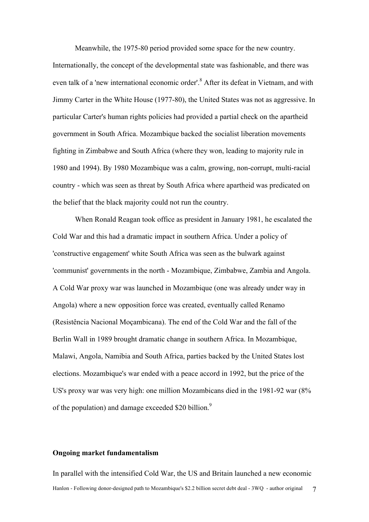Meanwhile, the 1975-80 period provided some space for the new country. Internationally, the concept of the developmental state was fashionable, and there was even talk of a 'new international economic order'.<sup>8</sup> After its defeat in Vietnam, and with Jimmy Carter in the White House (1977-80), the United States was not as aggressive. In particular Carter's human rights policies had provided a partial check on the apartheid government in South Africa. Mozambique backed the socialist liberation movements fighting in Zimbabwe and South Africa (where they won, leading to majority rule in 1980 and 1994). By 1980 Mozambique was a calm, growing, non-corrupt, multi-racial country - which was seen as threat by South Africa where apartheid was predicated on the belief that the black majority could not run the country.

When Ronald Reagan took office as president in January 1981, he escalated the Cold War and this had a dramatic impact in southern Africa. Under a policy of 'constructive engagement' white South Africa was seen as the bulwark against 'communist' governments in the north - Mozambique, Zimbabwe, Zambia and Angola. A Cold War proxy war was launched in Mozambique (one was already under way in Angola) where a new opposition force was created, eventually called Renamo (Resistência Nacional Moçambicana). The end of the Cold War and the fall of the Berlin Wall in 1989 brought dramatic change in southern Africa. In Mozambique, Malawi, Angola, Namibia and South Africa, parties backed by the United States lost elections. Mozambique's war ended with a peace accord in 1992, but the price of the US's proxy war was very high: one million Mozambicans died in the 1981-92 war (8% of the population) and damage exceeded \$20 billion.<sup>9</sup>

#### **Ongoing market fundamentalism**

Hanlon - Following donor-designed path to Mozambique's \$2.2 billion secret debt deal - 3WQ - author original 7 In parallel with the intensified Cold War, the US and Britain launched a new economic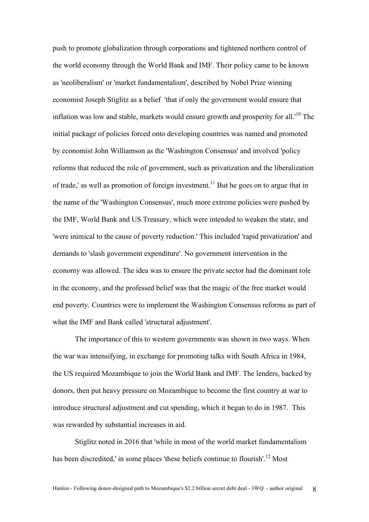push to promote globalization through corporations and tightened northern control of the world economy through the World Bank and IMF. Their policy came to be known as 'neoliberalism' or 'market fundamentalism', described by Nobel Prize winning economist Joseph Stiglitz as a belief 'that if only the government would ensure that inflation was low and stable, markets would ensure growth and prosperity for all.'<sup>10</sup> The initial package of policies forced onto developing countries was named and promoted by economist John Williamson as the 'Washington Consensus' and involved 'policy reforms that reduced the role of government, such as privatization and the liberalization of trade,' as well as promotion of foreign investment.<sup>11</sup> But he goes on to argue that in the name of the 'Washington Consensus', much more extreme policies were pushed by the IMF, World Bank and US Treasury, which were intended to weaken the state, and 'were inimical to the cause of poverty reduction.' This included 'rapid privatization' and demands to 'slash government expenditure'. No government intervention in the economy was allowed. The idea was to ensure the private sector had the dominant role in the economy, and the professed belief was that the magic of the free market would end poverty. Countries were to implement the Washington Consensus reforms as part of what the IMF and Bank called 'structural adjustment'.

The importance of this to western governments was shown in two ways. When the war was intensifying, in exchange for promoting talks with South Africa in 1984, the US required Mozambique to join the World Bank and IMF. The lenders, backed by donors, then put heavy pressure on Mozambique to become the first country at war to introduce structural adjustment and cut spending, which it began to do in 1987. This was rewarded by substantial increases in aid.

Stiglitz noted in 2016 that 'while in most of the world market fundamentalism has been discredited,' in some places 'these beliefs continue to flourish'.<sup>12</sup> Most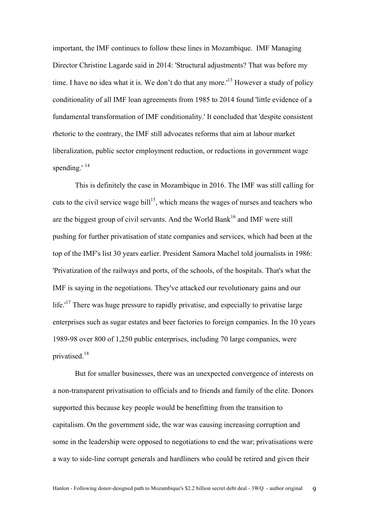important, the IMF continues to follow these lines in Mozambique. IMF Managing Director Christine Lagarde said in 2014: 'Structural adjustments? That was before my time. I have no idea what it is. We don't do that any more.<sup>13</sup> However a study of policy conditionality of all IMF loan agreements from 1985 to 2014 found 'little evidence of a fundamental transformation of IMF conditionality.' It concluded that 'despite consistent rhetoric to the contrary, the IMF still advocates reforms that aim at labour market liberalization, public sector employment reduction, or reductions in government wage spending.'<sup>14</sup>

This is definitely the case in Mozambique in 2016. The IMF was still calling for cuts to the civil service wage bill<sup>15</sup>, which means the wages of nurses and teachers who are the biggest group of civil servants. And the World Bank<sup>16</sup> and IMF were still pushing for further privatisation of state companies and services, which had been at the top of the IMF's list 30 years earlier. President Samora Machel told journalists in 1986: 'Privatization of the railways and ports, of the schools, of the hospitals. That's what the IMF is saying in the negotiations. They've attacked our revolutionary gains and our life. $17$  There was huge pressure to rapidly privatise, and especially to privatise large enterprises such as sugar estates and beer factories to foreign companies. In the 10 years 1989-98 over 800 of 1,250 public enterprises, including 70 large companies, were privatised.<sup>18</sup>

But for smaller businesses, there was an unexpected convergence of interests on a non-transparent privatisation to officials and to friends and family of the elite. Donors supported this because key people would be benefitting from the transition to capitalism. On the government side, the war was causing increasing corruption and some in the leadership were opposed to negotiations to end the war; privatisations were a way to side-line corrupt generals and hardliners who could be retired and given their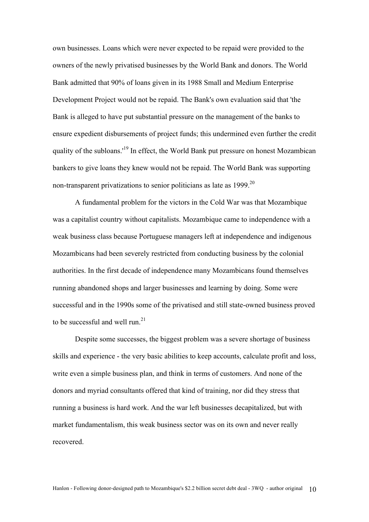own businesses. Loans which were never expected to be repaid were provided to the owners of the newly privatised businesses by the World Bank and donors. The World Bank admitted that 90% of loans given in its 1988 Small and Medium Enterprise Development Project would not be repaid. The Bank's own evaluation said that 'the Bank is alleged to have put substantial pressure on the management of the banks to ensure expedient disbursements of project funds; this undermined even further the credit quality of the subloans.<sup>19</sup> In effect, the World Bank put pressure on honest Mozambican bankers to give loans they knew would not be repaid. The World Bank was supporting non-transparent privatizations to senior politicians as late as  $1999$ <sup>20</sup>

A fundamental problem for the victors in the Cold War was that Mozambique was a capitalist country without capitalists. Mozambique came to independence with a weak business class because Portuguese managers left at independence and indigenous Mozambicans had been severely restricted from conducting business by the colonial authorities. In the first decade of independence many Mozambicans found themselves running abandoned shops and larger businesses and learning by doing. Some were successful and in the 1990s some of the privatised and still state-owned business proved to be successful and well run.<sup>21</sup>

Despite some successes, the biggest problem was a severe shortage of business skills and experience - the very basic abilities to keep accounts, calculate profit and loss, write even a simple business plan, and think in terms of customers. And none of the donors and myriad consultants offered that kind of training, nor did they stress that running a business is hard work. And the war left businesses decapitalized, but with market fundamentalism, this weak business sector was on its own and never really recovered.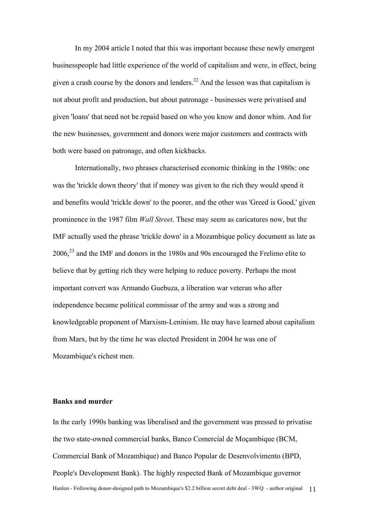In my 2004 article I noted that this was important because these newly emergent businesspeople had little experience of the world of capitalism and were, in effect, being given a crash course by the donors and lenders.<sup>22</sup> And the lesson was that capitalism is not about profit and production, but about patronage - businesses were privatised and given 'loans' that need not be repaid based on who you know and donor whim. And for the new businesses, government and donors were major customers and contracts with both were based on patronage, and often kickbacks.

Internationally, two phrases characterised economic thinking in the 1980s: one was the 'trickle down theory' that if money was given to the rich they would spend it and benefits would 'trickle down' to the poorer, and the other was 'Greed is Good,' given prominence in the 1987 film *Wall Street*. These may seem as caricatures now, but the IMF actually used the phrase 'trickle down' in a Mozambique policy document as late as  $2006<sup>23</sup>$  and the IMF and donors in the 1980s and 90s encouraged the Frelimo elite to believe that by getting rich they were helping to reduce poverty. Perhaps the most important convert was Armando Guebuza, a liberation war veteran who after independence became political commissar of the army and was a strong and knowledgeable proponent of Marxism-Leninism. He may have learned about capitalism from Marx, but by the time he was elected President in 2004 he was one of Mozambique's richest men.

# **Banks and murder**

Hanlon - Following donor-designed path to Mozambique's \$2.2 billion secret debt deal - 3WQ - author original 11 In the early 1990s banking was liberalised and the government was pressed to privatise the two state-owned commercial banks, Banco Comercial de Moçambique (BCM, Commercial Bank of Mozambique) and Banco Popular de Desenvolvimento (BPD, People's Development Bank). The highly respected Bank of Mozambique governor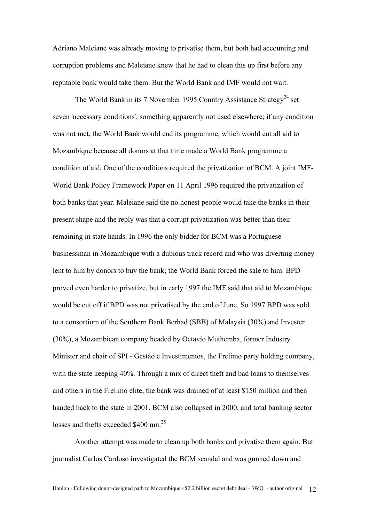Adriano Maleiane was already moving to privatise them, but both had accounting and corruption problems and Maleiane knew that he had to clean this up first before any reputable bank would take them. But the World Bank and IMF would not wait.

The World Bank in its 7 November 1995 Country Assistance Strategy<sup>24</sup> set seven 'necessary conditions', something apparently not used elsewhere; if any condition was not met, the World Bank would end its programme, which would cut all aid to Mozambique because all donors at that time made a World Bank programme a condition of aid. One of the conditions required the privatization of BCM. A joint IMF-World Bank Policy Framework Paper on 11 April 1996 required the privatization of both banks that year. Maleiane said the no honest people would take the banks in their present shape and the reply was that a corrupt privatization was better than their remaining in state hands. In 1996 the only bidder for BCM was a Portuguese businessman in Mozambique with a dubious track record and who was diverting money lent to him by donors to buy the bank; the World Bank forced the sale to him. BPD proved even harder to privatize, but in early 1997 the IMF said that aid to Mozambique would be cut off if BPD was not privatised by the end of June. So 1997 BPD was sold to a consortium of the Southern Bank Berhad (SBB) of Malaysia (30%) and Invester (30%), a Mozambican company headed by Octavio Muthemba, former Industry Minister and chair of SPI - Gestão e Investimentos, the Frelimo party holding company, with the state keeping 40%. Through a mix of direct theft and bad loans to themselves and others in the Frelimo elite, the bank was drained of at least \$150 million and then handed back to the state in 2001. BCM also collapsed in 2000, and total banking sector losses and thefts exceeded  $$400$  mn<sup>25</sup>

Another attempt was made to clean up both banks and privatise them again. But journalist Carlos Cardoso investigated the BCM scandal and was gunned down and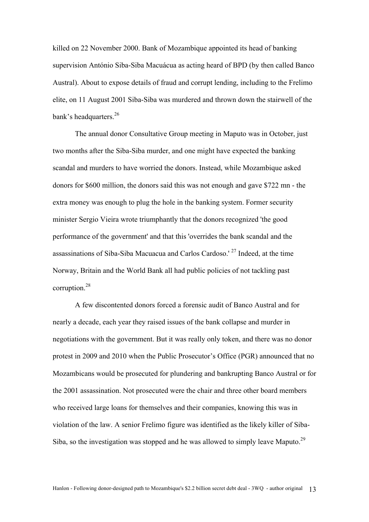killed on 22 November 2000. Bank of Mozambique appointed its head of banking supervision António Siba-Siba Macuácua as acting heard of BPD (by then called Banco Austral). About to expose details of fraud and corrupt lending, including to the Frelimo elite, on 11 August 2001 Siba-Siba was murdered and thrown down the stairwell of the bank's headquarters.  $26$ 

The annual donor Consultative Group meeting in Maputo was in October, just two months after the Siba-Siba murder, and one might have expected the banking scandal and murders to have worried the donors. Instead, while Mozambique asked donors for \$600 million, the donors said this was not enough and gave \$722 mn - the extra money was enough to plug the hole in the banking system. Former security minister Sergio Vieira wrote triumphantly that the donors recognized 'the good performance of the government' and that this 'overrides the bank scandal and the assassinations of Siba-Siba Macuacua and Carlos Cardoso.<sup>' 27</sup> Indeed, at the time Norway, Britain and the World Bank all had public policies of not tackling past corruption.<sup>28</sup>

A few discontented donors forced a forensic audit of Banco Austral and for nearly a decade, each year they raised issues of the bank collapse and murder in negotiations with the government. But it was really only token, and there was no donor protest in 2009 and 2010 when the Public Prosecutor's Office (PGR) announced that no Mozambicans would be prosecuted for plundering and bankrupting Banco Austral or for the 2001 assassination. Not prosecuted were the chair and three other board members who received large loans for themselves and their companies, knowing this was in violation of the law. A senior Frelimo figure was identified as the likely killer of Siba-Siba, so the investigation was stopped and he was allowed to simply leave Maputo.<sup>29</sup>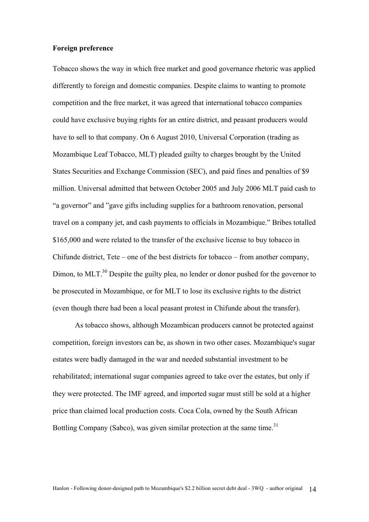# **Foreign preference**

Tobacco shows the way in which free market and good governance rhetoric was applied differently to foreign and domestic companies. Despite claims to wanting to promote competition and the free market, it was agreed that international tobacco companies could have exclusive buying rights for an entire district, and peasant producers would have to sell to that company. On 6 August 2010, Universal Corporation (trading as Mozambique Leaf Tobacco, MLT) pleaded guilty to charges brought by the United States Securities and Exchange Commission (SEC), and paid fines and penalties of \$9 million. Universal admitted that between October 2005 and July 2006 MLT paid cash to "a governor" and "gave gifts including supplies for a bathroom renovation, personal travel on a company jet, and cash payments to officials in Mozambique." Bribes totalled \$165,000 and were related to the transfer of the exclusive license to buy tobacco in Chifunde district, Tete – one of the best districts for tobacco – from another company, Dimon, to MLT.<sup>30</sup> Despite the guilty plea, no lender or donor pushed for the governor to be prosecuted in Mozambique, or for MLT to lose its exclusive rights to the district (even though there had been a local peasant protest in Chifunde about the transfer).

As tobacco shows, although Mozambican producers cannot be protected against competition, foreign investors can be, as shown in two other cases. Mozambique's sugar estates were badly damaged in the war and needed substantial investment to be rehabilitated; international sugar companies agreed to take over the estates, but only if they were protected. The IMF agreed, and imported sugar must still be sold at a higher price than claimed local production costs. Coca Cola, owned by the South African Bottling Company (Sabco), was given similar protection at the same time.<sup>31</sup>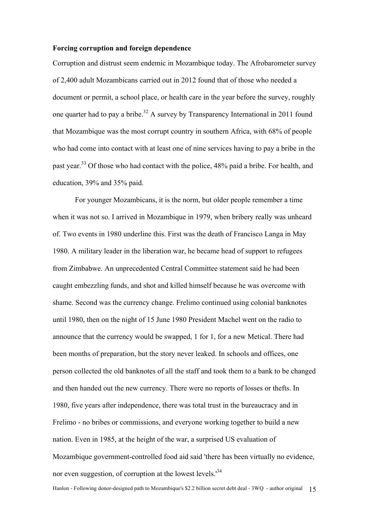# **Forcing corruption and foreign dependence**

Corruption and distrust seem endemic in Mozambique today. The Afrobarometer survey of 2,400 adult Mozambicans carried out in 2012 found that of those who needed a document or permit, a school place, or health care in the year before the survey, roughly one quarter had to pay a bribe.<sup>32</sup> A survey by Transparency International in 2011 found that Mozambique was the most corrupt country in southern Africa, with 68% of people who had come into contact with at least one of nine services having to pay a bribe in the past year.<sup>33</sup> Of those who had contact with the police, 48% paid a bribe. For health, and education, 39% and 35% paid.

For younger Mozambicans, it is the norm, but older people remember a time when it was not so. I arrived in Mozambique in 1979, when bribery really was unheard of. Two events in 1980 underline this. First was the death of Francisco Langa in May 1980. A military leader in the liberation war, he became head of support to refugees from Zimbabwe. An unprecedented Central Committee statement said he had been caught embezzling funds, and shot and killed himself because he was overcome with shame. Second was the currency change. Frelimo continued using colonial banknotes until 1980, then on the night of 15 June 1980 President Machel went on the radio to announce that the currency would be swapped, 1 for 1, for a new Metical. There had been months of preparation, but the story never leaked. In schools and offices, one person collected the old banknotes of all the staff and took them to a bank to be changed and then handed out the new currency. There were no reports of losses or thefts. In 1980, five years after independence, there was total trust in the bureaucracy and in Frelimo - no bribes or commissions, and everyone working together to build a new nation. Even in 1985, at the height of the war, a surprised US evaluation of Mozambique government-controlled food aid said 'there has been virtually no evidence, nor even suggestion, of corruption at the lowest levels.<sup>34</sup>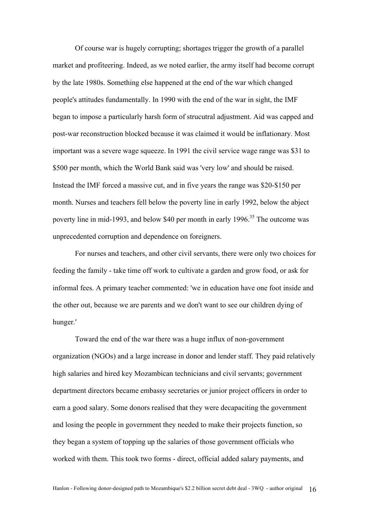Of course war is hugely corrupting; shortages trigger the growth of a parallel market and profiteering. Indeed, as we noted earlier, the army itself had become corrupt by the late 1980s. Something else happened at the end of the war which changed people's attitudes fundamentally. In 1990 with the end of the war in sight, the IMF began to impose a particularly harsh form of strucutral adjustment. Aid was capped and post-war reconstruction blocked because it was claimed it would be inflationary. Most important was a severe wage squeeze. In 1991 the civil service wage range was \$31 to \$500 per month, which the World Bank said was 'very low' and should be raised. Instead the IMF forced a massive cut, and in five years the range was \$20-\$150 per month. Nurses and teachers fell below the poverty line in early 1992, below the abject poverty line in mid-1993, and below \$40 per month in early  $1996$ <sup>35</sup>. The outcome was unprecedented corruption and dependence on foreigners.

For nurses and teachers, and other civil servants, there were only two choices for feeding the family - take time off work to cultivate a garden and grow food, or ask for informal fees. A primary teacher commented: 'we in education have one foot inside and the other out, because we are parents and we don't want to see our children dying of hunger.'

Toward the end of the war there was a huge influx of non-government organization (NGOs) and a large increase in donor and lender staff. They paid relatively high salaries and hired key Mozambican technicians and civil servants; government department directors became embassy secretaries or junior project officers in order to earn a good salary. Some donors realised that they were decapaciting the government and losing the people in government they needed to make their projects function, so they began a system of topping up the salaries of those government officials who worked with them. This took two forms - direct, official added salary payments, and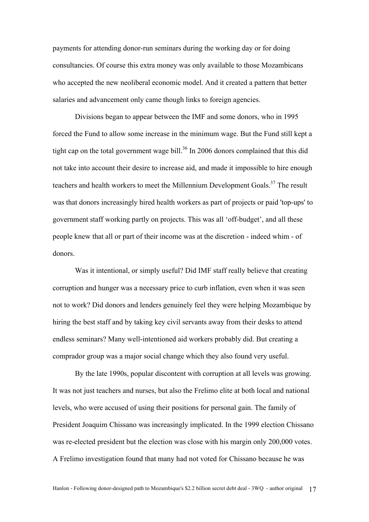payments for attending donor-run seminars during the working day or for doing consultancies. Of course this extra money was only available to those Mozambicans who accepted the new neoliberal economic model. And it created a pattern that better salaries and advancement only came though links to foreign agencies.

Divisions began to appear between the IMF and some donors, who in 1995 forced the Fund to allow some increase in the minimum wage. But the Fund still kept a tight cap on the total government wage bill.<sup>36</sup> In 2006 donors complained that this did not take into account their desire to increase aid, and made it impossible to hire enough teachers and health workers to meet the Millennium Development Goals.<sup>37</sup> The result was that donors increasingly hired health workers as part of projects or paid 'top-ups' to government staff working partly on projects. This was all 'off-budget', and all these people knew that all or part of their income was at the discretion - indeed whim - of donors.

Was it intentional, or simply useful? Did IMF staff really believe that creating corruption and hunger was a necessary price to curb inflation, even when it was seen not to work? Did donors and lenders genuinely feel they were helping Mozambique by hiring the best staff and by taking key civil servants away from their desks to attend endless seminars? Many well-intentioned aid workers probably did. But creating a comprador group was a major social change which they also found very useful.

By the late 1990s, popular discontent with corruption at all levels was growing. It was not just teachers and nurses, but also the Frelimo elite at both local and national levels, who were accused of using their positions for personal gain. The family of President Joaquim Chissano was increasingly implicated. In the 1999 election Chissano was re-elected president but the election was close with his margin only 200,000 votes. A Frelimo investigation found that many had not voted for Chissano because he was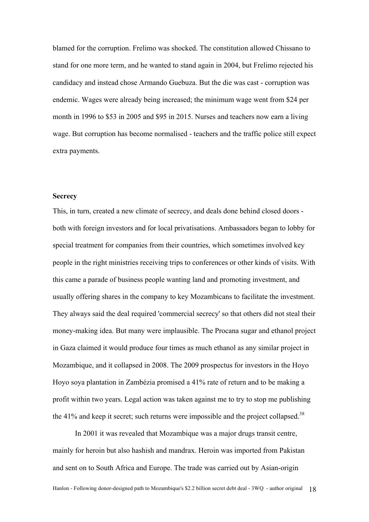blamed for the corruption. Frelimo was shocked. The constitution allowed Chissano to stand for one more term, and he wanted to stand again in 2004, but Frelimo rejected his candidacy and instead chose Armando Guebuza. But the die was cast - corruption was endemic. Wages were already being increased; the minimum wage went from \$24 per month in 1996 to \$53 in 2005 and \$95 in 2015. Nurses and teachers now earn a living wage. But corruption has become normalised - teachers and the traffic police still expect extra payments.

# **Secrecy**

This, in turn, created a new climate of secrecy, and deals done behind closed doors both with foreign investors and for local privatisations. Ambassadors began to lobby for special treatment for companies from their countries, which sometimes involved key people in the right ministries receiving trips to conferences or other kinds of visits. With this came a parade of business people wanting land and promoting investment, and usually offering shares in the company to key Mozambicans to facilitate the investment. They always said the deal required 'commercial secrecy' so that others did not steal their money-making idea. But many were implausible. The Procana sugar and ethanol project in Gaza claimed it would produce four times as much ethanol as any similar project in Mozambique, and it collapsed in 2008. The 2009 prospectus for investors in the Hoyo Hoyo soya plantation in Zambézia promised a 41% rate of return and to be making a profit within two years. Legal action was taken against me to try to stop me publishing the 41% and keep it secret; such returns were impossible and the project collapsed.<sup>38</sup>

In 2001 it was revealed that Mozambique was a major drugs transit centre, mainly for heroin but also hashish and mandrax. Heroin was imported from Pakistan and sent on to South Africa and Europe. The trade was carried out by Asian-origin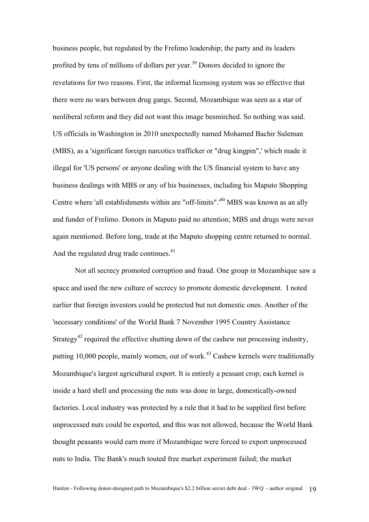business people, but regulated by the Frelimo leadership; the party and its leaders profited by tens of millions of dollars per year.<sup>39</sup> Donors decided to ignore the revelations for two reasons. First, the informal licensing system was so effective that there were no wars between drug gangs. Second, Mozambique was seen as a star of neoliberal reform and they did not want this image besmirched. So nothing was said. US officials in Washington in 2010 unexpectedly named Mohamed Bachir Suleman (MBS), as a 'significant foreign narcotics trafficker or "drug kingpin",' which made it illegal for 'US persons' or anyone dealing with the US financial system to have any business dealings with MBS or any of his businesses, including his Maputo Shopping Centre where 'all establishments within are "off-limits".<sup>40</sup> MBS was known as an ally and funder of Frelimo. Donors in Maputo paid no attention; MBS and drugs were never again mentioned. Before long, trade at the Maputo shopping centre returned to normal. And the regulated drug trade continues. $41$ 

Not all secrecy promoted corruption and fraud. One group in Mozambique saw a space and used the new culture of secrecy to promote domestic development. I noted earlier that foreign investors could be protected but not domestic ones. Another of the 'necessary conditions' of the World Bank 7 November 1995 Country Assistance Strategy<sup>42</sup> required the effective shutting down of the cashew nut processing industry, putting 10,000 people, mainly women, out of work.<sup>43</sup> Cashew kernels were traditionally Mozambique's largest agricultural export. It is entirely a peasant crop; each kernel is inside a hard shell and processing the nuts was done in large, domestically-owned factories. Local industry was protected by a rule that it had to be supplied first before unprocessed nuts could be exported, and this was not allowed, because the World Bank thought peasants would earn more if Mozambique were forced to export unprocessed nuts to India. The Bank's much touted free market experiment failed; the market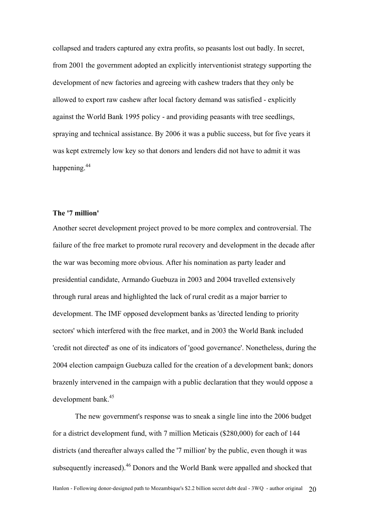collapsed and traders captured any extra profits, so peasants lost out badly. In secret, from 2001 the government adopted an explicitly interventionist strategy supporting the development of new factories and agreeing with cashew traders that they only be allowed to export raw cashew after local factory demand was satisfied - explicitly against the World Bank 1995 policy - and providing peasants with tree seedlings, spraying and technical assistance. By 2006 it was a public success, but for five years it was kept extremely low key so that donors and lenders did not have to admit it was happening.<sup>44</sup>

# **The '7 million'**

Another secret development project proved to be more complex and controversial. The failure of the free market to promote rural recovery and development in the decade after the war was becoming more obvious. After his nomination as party leader and presidential candidate, Armando Guebuza in 2003 and 2004 travelled extensively through rural areas and highlighted the lack of rural credit as a major barrier to development. The IMF opposed development banks as 'directed lending to priority sectors' which interfered with the free market, and in 2003 the World Bank included 'credit not directed' as one of its indicators of 'good governance'. Nonetheless, during the 2004 election campaign Guebuza called for the creation of a development bank; donors brazenly intervened in the campaign with a public declaration that they would oppose a development bank.45

The new government's response was to sneak a single line into the 2006 budget for a district development fund, with 7 million Meticais (\$280,000) for each of 144 districts (and thereafter always called the '7 million' by the public, even though it was subsequently increased).<sup>46</sup> Donors and the World Bank were appalled and shocked that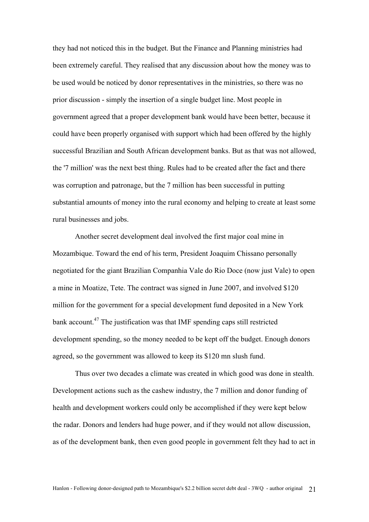they had not noticed this in the budget. But the Finance and Planning ministries had been extremely careful. They realised that any discussion about how the money was to be used would be noticed by donor representatives in the ministries, so there was no prior discussion - simply the insertion of a single budget line. Most people in government agreed that a proper development bank would have been better, because it could have been properly organised with support which had been offered by the highly successful Brazilian and South African development banks. But as that was not allowed, the '7 million' was the next best thing. Rules had to be created after the fact and there was corruption and patronage, but the 7 million has been successful in putting substantial amounts of money into the rural economy and helping to create at least some rural businesses and jobs.

Another secret development deal involved the first major coal mine in Mozambique. Toward the end of his term, President Joaquim Chissano personally negotiated for the giant Brazilian Companhia Vale do Rio Doce (now just Vale) to open a mine in Moatize, Tete. The contract was signed in June 2007, and involved \$120 million for the government for a special development fund deposited in a New York bank account.<sup>47</sup> The justification was that IMF spending caps still restricted development spending, so the money needed to be kept off the budget. Enough donors agreed, so the government was allowed to keep its \$120 mn slush fund.

Thus over two decades a climate was created in which good was done in stealth. Development actions such as the cashew industry, the 7 million and donor funding of health and development workers could only be accomplished if they were kept below the radar. Donors and lenders had huge power, and if they would not allow discussion, as of the development bank, then even good people in government felt they had to act in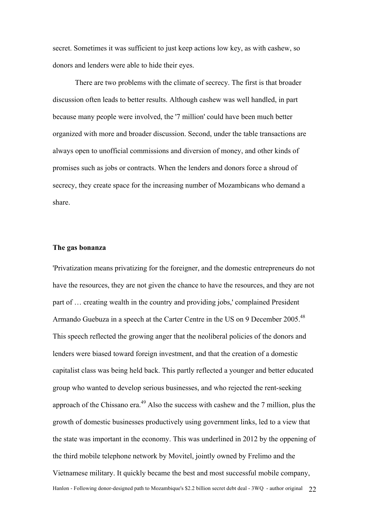secret. Sometimes it was sufficient to just keep actions low key, as with cashew, so donors and lenders were able to hide their eyes.

There are two problems with the climate of secrecy. The first is that broader discussion often leads to better results. Although cashew was well handled, in part because many people were involved, the '7 million' could have been much better organized with more and broader discussion. Second, under the table transactions are always open to unofficial commissions and diversion of money, and other kinds of promises such as jobs or contracts. When the lenders and donors force a shroud of secrecy, they create space for the increasing number of Mozambicans who demand a share.

#### **The gas bonanza**

Hanlon - Following donor-designed path to Mozambique's \$2.2 billion secret debt deal - 3WQ - author original 22 'Privatization means privatizing for the foreigner, and the domestic entrepreneurs do not have the resources, they are not given the chance to have the resources, and they are not part of … creating wealth in the country and providing jobs,' complained President Armando Guebuza in a speech at the Carter Centre in the US on 9 December 2005.<sup>48</sup> This speech reflected the growing anger that the neoliberal policies of the donors and lenders were biased toward foreign investment, and that the creation of a domestic capitalist class was being held back. This partly reflected a younger and better educated group who wanted to develop serious businesses, and who rejected the rent-seeking approach of the Chissano era.<sup>49</sup> Also the success with cashew and the 7 million, plus the growth of domestic businesses productively using government links, led to a view that the state was important in the economy. This was underlined in 2012 by the oppening of the third mobile telephone network by Movitel, jointly owned by Frelimo and the Vietnamese military. It quickly became the best and most successful mobile company,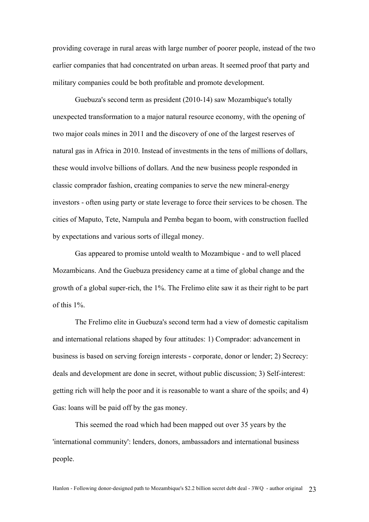providing coverage in rural areas with large number of poorer people, instead of the two earlier companies that had concentrated on urban areas. It seemed proof that party and military companies could be both profitable and promote development.

Guebuza's second term as president (2010-14) saw Mozambique's totally unexpected transformation to a major natural resource economy, with the opening of two major coals mines in 2011 and the discovery of one of the largest reserves of natural gas in Africa in 2010. Instead of investments in the tens of millions of dollars, these would involve billions of dollars. And the new business people responded in classic comprador fashion, creating companies to serve the new mineral-energy investors - often using party or state leverage to force their services to be chosen. The cities of Maputo, Tete, Nampula and Pemba began to boom, with construction fuelled by expectations and various sorts of illegal money.

Gas appeared to promise untold wealth to Mozambique - and to well placed Mozambicans. And the Guebuza presidency came at a time of global change and the growth of a global super-rich, the 1%. The Frelimo elite saw it as their right to be part of this 1%.

The Frelimo elite in Guebuza's second term had a view of domestic capitalism and international relations shaped by four attitudes: 1) Comprador: advancement in business is based on serving foreign interests - corporate, donor or lender; 2) Secrecy: deals and development are done in secret, without public discussion; 3) Self-interest: getting rich will help the poor and it is reasonable to want a share of the spoils; and 4) Gas: loans will be paid off by the gas money.

This seemed the road which had been mapped out over 35 years by the 'international community': lenders, donors, ambassadors and international business people.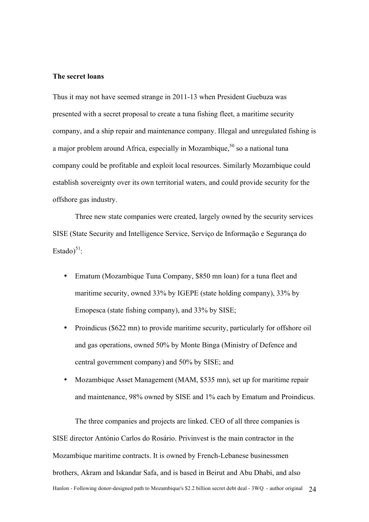#### **The secret loans**

Thus it may not have seemed strange in 2011-13 when President Guebuza was presented with a secret proposal to create a tuna fishing fleet, a maritime security company, and a ship repair and maintenance company. Illegal and unregulated fishing is a major problem around Africa, especially in Mozambique,  $50$  so a national tuna company could be profitable and exploit local resources. Similarly Mozambique could establish sovereignty over its own territorial waters, and could provide security for the offshore gas industry.

Three new state companies were created, largely owned by the security services SISE (State Security and Intelligence Service, Serviço de Informação e Segurança do Estado) $51$ :

- Ematum (Mozambique Tuna Company, \$850 mn loan) for a tuna fleet and maritime security, owned 33% by IGEPE (state holding company), 33% by Emopesca (state fishing company), and 33% by SISE;
- Proindicus (\$622 mn) to provide maritime security, particularly for offshore oil and gas operations, owned 50% by Monte Binga (Ministry of Defence and central government company) and 50% by SISE; and
- Mozambique Asset Management (MAM, \$535 mn), set up for maritime repair and maintenance, 98% owned by SISE and 1% each by Ematum and Proindicus.

Hanlon - Following donor-designed path to Mozambique's \$2.2 billion secret debt deal - 3WQ - author original 24 The three companies and projects are linked. CEO of all three companies is SISE director António Carlos do Rosário. Privinvest is the main contractor in the Mozambique maritime contracts. It is owned by French-Lebanese businessmen brothers, Akram and Iskandar Safa, and is based in Beirut and Abu Dhabi, and also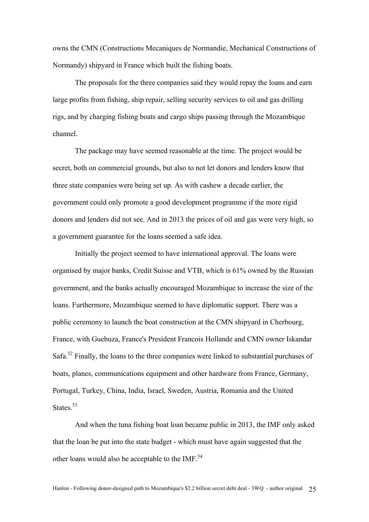owns the CMN (Constructions Mecaniques de Normandie, Mechanical Constructions of Normandy) shipyard in France which built the fishing boats.

The proposals for the three companies said they would repay the loans and earn large profits from fishing, ship repair, selling security services to oil and gas drilling rigs, and by charging fishing boats and cargo ships passing through the Mozambique channel.

The package may have seemed reasonable at the time. The project would be secret, both on commercial grounds, but also to not let donors and lenders know that three state companies were being set up. As with cashew a decade earlier, the government could only promote a good development programme if the more rigid donors and lenders did not see. And in 2013 the prices of oil and gas were very high, so a government guarantee for the loans seemed a safe idea.

Initially the project seemed to have international approval. The loans were organised by major banks, Credit Suisse and VTB, which is 61% owned by the Russian government, and the banks actually encouraged Mozambique to increase the size of the loans. Furthermore, Mozambique seemed to have diplomatic support. There was a public ceremony to launch the boat construction at the CMN shipyard in Cherbourg, France, with Guebuza, France's President Francois Hollande and CMN owner Iskandar Safa.<sup>52</sup> Finally, the loans to the three companies were linked to substantial purchases of boats, planes, communications equipment and other hardware from France, Germany, Portugal, Turkey, China, India, Israel, Sweden, Austria, Romania and the United States<sup>53</sup>

And when the tuna fishing boat loan became public in 2013, the IMF only asked that the loan be put into the state budget - which must have again suggested that the other loans would also be acceptable to the IMF.<sup>54</sup>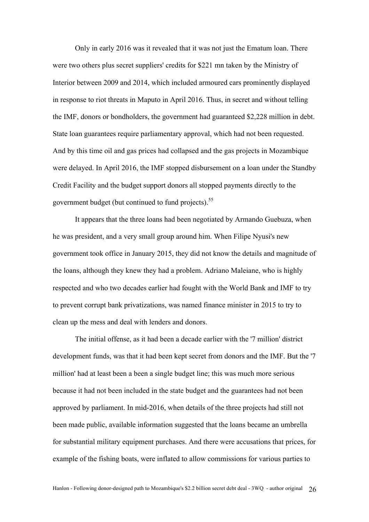Only in early 2016 was it revealed that it was not just the Ematum loan. There were two others plus secret suppliers' credits for \$221 mn taken by the Ministry of Interior between 2009 and 2014, which included armoured cars prominently displayed in response to riot threats in Maputo in April 2016. Thus, in secret and without telling the IMF, donors or bondholders, the government had guaranteed \$2,228 million in debt. State loan guarantees require parliamentary approval, which had not been requested. And by this time oil and gas prices had collapsed and the gas projects in Mozambique were delayed. In April 2016, the IMF stopped disbursement on a loan under the Standby Credit Facility and the budget support donors all stopped payments directly to the government budget (but continued to fund projects).<sup>55</sup>

It appears that the three loans had been negotiated by Armando Guebuza, when he was president, and a very small group around him. When Filipe Nyusi's new government took office in January 2015, they did not know the details and magnitude of the loans, although they knew they had a problem. Adriano Maleiane, who is highly respected and who two decades earlier had fought with the World Bank and IMF to try to prevent corrupt bank privatizations, was named finance minister in 2015 to try to clean up the mess and deal with lenders and donors.

The initial offense, as it had been a decade earlier with the '7 million' district development funds, was that it had been kept secret from donors and the IMF. But the '7 million' had at least been a been a single budget line; this was much more serious because it had not been included in the state budget and the guarantees had not been approved by parliament. In mid-2016, when details of the three projects had still not been made public, available information suggested that the loans became an umbrella for substantial military equipment purchases. And there were accusations that prices, for example of the fishing boats, were inflated to allow commissions for various parties to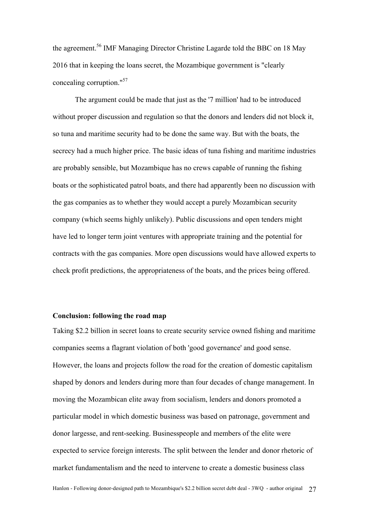the agreement.<sup>56</sup> IMF Managing Director Christine Lagarde told the BBC on 18 May 2016 that in keeping the loans secret, the Mozambique government is "clearly concealing corruption."57

The argument could be made that just as the '7 million' had to be introduced without proper discussion and regulation so that the donors and lenders did not block it, so tuna and maritime security had to be done the same way. But with the boats, the secrecy had a much higher price. The basic ideas of tuna fishing and maritime industries are probably sensible, but Mozambique has no crews capable of running the fishing boats or the sophisticated patrol boats, and there had apparently been no discussion with the gas companies as to whether they would accept a purely Mozambican security company (which seems highly unlikely). Public discussions and open tenders might have led to longer term joint ventures with appropriate training and the potential for contracts with the gas companies. More open discussions would have allowed experts to check profit predictions, the appropriateness of the boats, and the prices being offered.

# **Conclusion: following the road map**

Taking \$2.2 billion in secret loans to create security service owned fishing and maritime companies seems a flagrant violation of both 'good governance' and good sense. However, the loans and projects follow the road for the creation of domestic capitalism shaped by donors and lenders during more than four decades of change management. In moving the Mozambican elite away from socialism, lenders and donors promoted a particular model in which domestic business was based on patronage, government and donor largesse, and rent-seeking. Businesspeople and members of the elite were expected to service foreign interests. The split between the lender and donor rhetoric of market fundamentalism and the need to intervene to create a domestic business class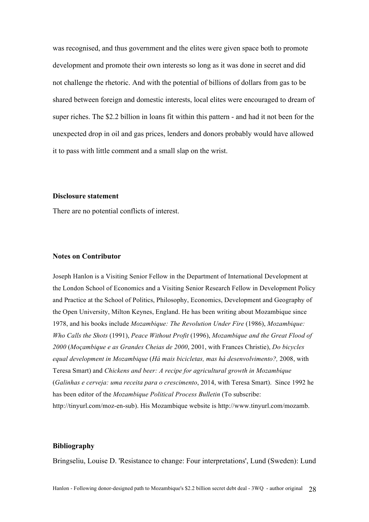was recognised, and thus government and the elites were given space both to promote development and promote their own interests so long as it was done in secret and did not challenge the rhetoric. And with the potential of billions of dollars from gas to be shared between foreign and domestic interests, local elites were encouraged to dream of super riches. The \$2.2 billion in loans fit within this pattern - and had it not been for the unexpected drop in oil and gas prices, lenders and donors probably would have allowed it to pass with little comment and a small slap on the wrist.

# **Disclosure statement**

There are no potential conflicts of interest.

#### **Notes on Contributor**

Joseph Hanlon is a Visiting Senior Fellow in the Department of International Development at the London School of Economics and a Visiting Senior Research Fellow in Development Policy and Practice at the School of Politics, Philosophy, Economics, Development and Geography of the Open University, Milton Keynes, England. He has been writing about Mozambique since 1978, and his books include *Mozambique: The Revolution Under Fire* (1986), *Mozambique: Who Calls the Shots* (1991), *Peace Without Profit* (1996), *Mozambique and the Great Flood of 2000* (*Moçambique e as Grandes Cheias de 2000*, 2001, with Frances Christie), *Do bicycles equal development in Mozambique* (*Há mais bicicletas, mas há desenvolvimento?,* 2008, with Teresa Smart) and *Chickens and beer: A recipe for agricultural growth in Mozambique* (*Galinhas e cerveja: uma receita para o crescimento*, 2014, with Teresa Smart). Since 1992 he has been editor of the *Mozambique Political Process Bulletin* (To subscribe: http://tinyurl.com/moz-en-sub). His Mozambique website is http://www.tinyurl.com/mozamb.

# **Bibliography**

Bringseliu, Louise D. 'Resistance to change: Four interpretations', Lund (Sweden): Lund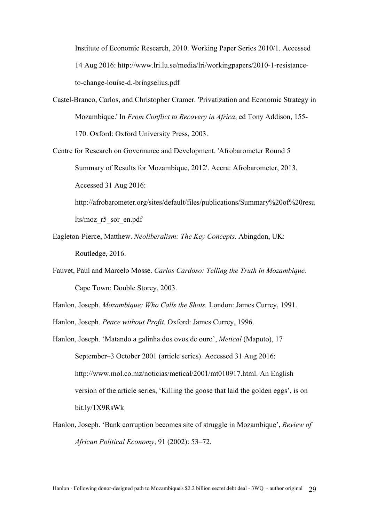Institute of Economic Research, 2010. Working Paper Series 2010/1. Accessed 14 Aug 2016: http://www.lri.lu.se/media/lri/workingpapers/2010-1-resistanceto-change-louise-d.-bringselius.pdf

- Castel-Branco, Carlos, and Christopher Cramer. 'Privatization and Economic Strategy in Mozambique.' In *From Conflict to Recovery in Africa*, ed Tony Addison, 155- 170. Oxford: Oxford University Press, 2003.
- Centre for Research on Governance and Development. 'Afrobarometer Round 5 Summary of Results for Mozambique, 2012'. Accra: Afrobarometer, 2013. Accessed 31 Aug 2016: http://afrobarometer.org/sites/default/files/publications/Summary%20of%20resu lts/moz\_r5\_sor\_en.pdf
- Eagleton-Pierce, Matthew. *Neoliberalism: The Key Concepts.* Abingdon, UK: Routledge, 2016.
- Fauvet, Paul and Marcelo Mosse. *Carlos Cardoso: Telling the Truth in Mozambique.*  Cape Town: Double Storey, 2003.
- Hanlon, Joseph. *Mozambique: Who Calls the Shots.* London: James Currey, 1991.
- Hanlon, Joseph. *Peace without Profit.* Oxford: James Currey, 1996.
- Hanlon, Joseph. 'Matando a galinha dos ovos de ouro', *Metical* (Maputo), 17 September–3 October 2001 (article series). Accessed 31 Aug 2016: http://www.mol.co.mz/noticias/metical/2001/mt010917.html. An English version of the article series, 'Killing the goose that laid the golden eggs', is on bit.ly/1X9RsWk
- Hanlon, Joseph. 'Bank corruption becomes site of struggle in Mozambique', *Review of African Political Economy*, 91 (2002): 53–72.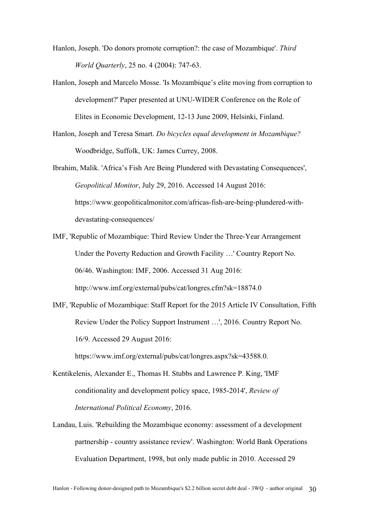- Hanlon, Joseph. 'Do donors promote corruption?: the case of Mozambique'. *Third World Quarterly*, 25 no. 4 (2004): 747-63.
- Hanlon, Joseph and Marcelo Mosse. 'Is Mozambique's elite moving from corruption to development?' Paper presented at UNU-WIDER Conference on the Role of Elites in Economic Development, 12-13 June 2009, Helsinki, Finland.
- Hanlon, Joseph and Teresa Smart. *Do bicycles equal development in Mozambique?*  Woodbridge, Suffolk, UK: James Currey, 2008.
- Ibrahim, Malik. 'Africa's Fish Are Being Plundered with Devastating Consequences', *Geopolitical Monitor*, July 29, 2016. Accessed 14 August 2016: https://www.geopoliticalmonitor.com/africas-fish-are-being-plundered-withdevastating-consequences/
- IMF, 'Republic of Mozambique: Third Review Under the Three-Year Arrangement Under the Poverty Reduction and Growth Facility …' Country Report No. 06/46. Washington: IMF, 2006. Accessed 31 Aug 2016: http://www.imf.org/external/pubs/cat/longres.cfm?sk=18874.0
- IMF, 'Republic of Mozambique: Staff Report for the 2015 Article IV Consultation, Fifth Review Under the Policy Support Instrument …', 2016. Country Report No. 16/9. Accessed 29 August 2016: https://www.imf.org/external/pubs/cat/longres.aspx?sk=43588.0.
- Kentikelenis, Alexander E., Thomas H. Stubbs and Lawrence P. King, 'IMF conditionality and development policy space, 1985-2014', *Review of International Political Economy*, 2016.
- Landau, Luis. 'Rebuilding the Mozambique economy: assessment of a development partnership - country assistance review'. Washington: World Bank Operations Evaluation Department, 1998, but only made public in 2010. Accessed 29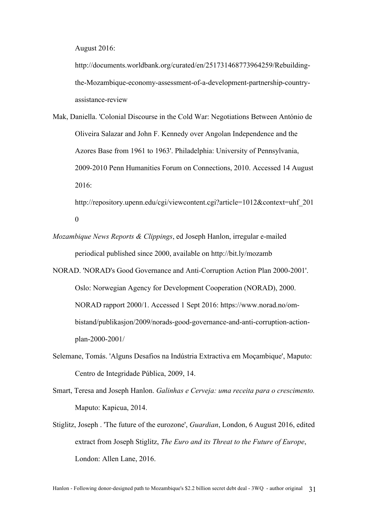August 2016:

http://documents.worldbank.org/curated/en/251731468773964259/Rebuildingthe-Mozambique-economy-assessment-of-a-development-partnership-countryassistance-review

Mak, Daniella. 'Colonial Discourse in the Cold War: Negotiations Between António de Oliveira Salazar and John F. Kennedy over Angolan Independence and the Azores Base from 1961 to 1963'. Philadelphia: University of Pennsylvania, 2009-2010 Penn Humanities Forum on Connections, 2010. Accessed 14 August 2016:

http://repository.upenn.edu/cgi/viewcontent.cgi?article=1012&context=uhf\_201 0

*Mozambique News Reports & Clippings*, ed Joseph Hanlon, irregular e-mailed periodical published since 2000, available on http://bit.ly/mozamb

NORAD. 'NORAD's Good Governance and Anti-Corruption Action Plan 2000-2001'. Oslo: Norwegian Agency for Development Cooperation (NORAD), 2000. NORAD rapport 2000/1. Accessed 1 Sept 2016: https://www.norad.no/ombistand/publikasjon/2009/norads-good-governance-and-anti-corruption-actionplan-2000-2001/

- Selemane, Tomás. 'Alguns Desafios na Indústria Extractiva em Moçambique', Maputo: Centro de Integridade Pública, 2009, 14.
- Smart, Teresa and Joseph Hanlon. *Galinhas e Cerveja: uma receita para o crescimento.* Maputo: Kapicua, 2014.
- Stiglitz, Joseph . 'The future of the eurozone', *Guardian*, London, 6 August 2016, edited extract from Joseph Stiglitz, *The Euro and its Threat to the Future of Europe*, London: Allen Lane, 2016.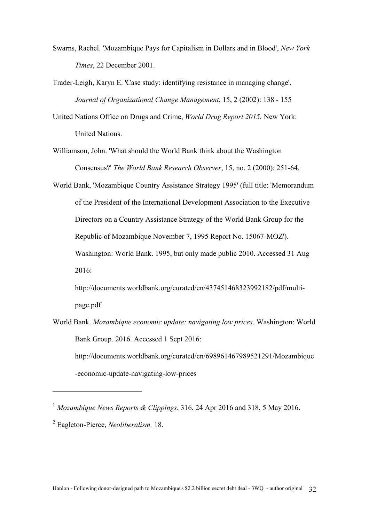- Swarns, Rachel. 'Mozambique Pays for Capitalism in Dollars and in Blood', *New York Times*, 22 December 2001.
- Trader-Leigh, Karyn E. 'Case study: identifying resistance in managing change'. *Journal of Organizational Change Management*, 15, 2 (2002): 138 - 155
- United Nations Office on Drugs and Crime, *World Drug Report 2015.* New York: United Nations.
- Williamson, John. 'What should the World Bank think about the Washington Consensus?' *The World Bank Research Observer*, 15, no. 2 (2000): 251-64.
- World Bank, 'Mozambique Country Assistance Strategy 1995' (full title: 'Memorandum of the President of the International Development Association to the Executive Directors on a Country Assistance Strategy of the World Bank Group for the Republic of Mozambique November 7, 1995 Report No. 15067-MOZ'). Washington: World Bank. 1995, but only made public 2010. Accessed 31 Aug 2016:
	- http://documents.worldbank.org/curated/en/437451468323992182/pdf/multipage.pdf
- World Bank. *Mozambique economic update: navigating low prices.* Washington: World Bank Group. 2016. Accessed 1 Sept 2016: http://documents.worldbank.org/curated/en/698961467989521291/Mozambique -economic-update-navigating-low-prices
- <sup>1</sup> *Mozambique News Reports & Clippings*, 316, 24 Apr 2016 and 318, 5 May 2016.

<sup>2</sup> Eagleton-Pierce, *Neoliberalism,* 18.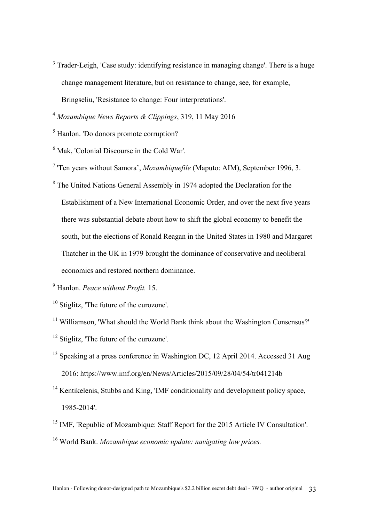$3$  Trader-Leigh, 'Case study: identifying resistance in managing change'. There is a huge change management literature, but on resistance to change, see, for example, Bringseliu, 'Resistance to change: Four interpretations'.

<sup>4</sup> *Mozambique News Reports & Clippings*, 319, 11 May 2016

<sup>5</sup> Hanlon. 'Do donors promote corruption?

 $\overline{a}$ 

<sup>6</sup> Mak, 'Colonial Discourse in the Cold War'.

<sup>7</sup> 'Ten years without Samora', *Mozambiquefile* (Maputo: AIM), September 1996, 3.

<sup>8</sup> The United Nations General Assembly in 1974 adopted the Declaration for the Establishment of a New International Economic Order, and over the next five years there was substantial debate about how to shift the global economy to benefit the south, but the elections of Ronald Reagan in the United States in 1980 and Margaret Thatcher in the UK in 1979 brought the dominance of conservative and neoliberal economics and restored northern dominance.

<sup>9</sup> Hanlon. *Peace without Profit.* 15.

<sup>10</sup> Stiglitz. The future of the eurozone'.

<sup>11</sup> Williamson, 'What should the World Bank think about the Washington Consensus?'

- <sup>12</sup> Stiglitz, 'The future of the eurozone'.
- <sup>13</sup> Speaking at a press conference in Washington DC, 12 April 2014. Accessed 31 Aug 2016: https://www.imf.org/en/News/Articles/2015/09/28/04/54/tr041214b
- <sup>14</sup> Kentikelenis, Stubbs and King, 'IMF conditionality and development policy space, 1985-2014'.
- <sup>15</sup> IMF, 'Republic of Mozambique: Staff Report for the 2015 Article IV Consultation'. <sup>16</sup> World Bank. *Mozambique economic update: navigating low prices.*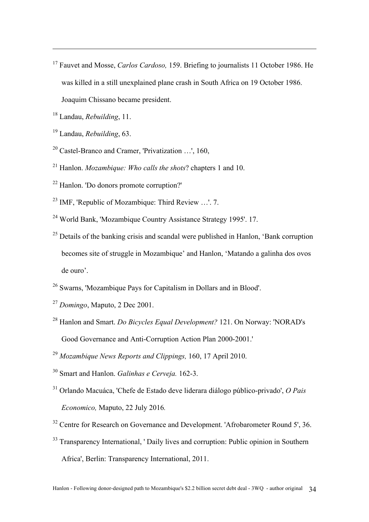- <sup>17</sup> Fauvet and Mosse, *Carlos Cardoso,* 159. Briefing to journalists 11 October 1986. He was killed in a still unexplained plane crash in South Africa on 19 October 1986. Joaquim Chissano became president.
- <sup>18</sup> Landau, *Rebuilding*, 11.

- <sup>19</sup> Landau, *Rebuilding*, 63.
- <sup>20</sup> Castel-Branco and Cramer, 'Privatization ...', 160.
- <sup>21</sup> Hanlon. *Mozambique: Who calls the shots*? chapters 1 and 10.
- <sup>22</sup> Hanlon. 'Do donors promote corruption?'
- <sup>23</sup> IMF, 'Republic of Mozambique: Third Review …'. 7.
- <sup>24</sup> World Bank, 'Mozambique Country Assistance Strategy 1995'. 17.
- $25$  Details of the banking crisis and scandal were published in Hanlon. 'Bank corruption becomes site of struggle in Mozambique' and Hanlon, 'Matando a galinha dos ovos de ouro'.
- <sup>26</sup> Swarns, 'Mozambique Pays for Capitalism in Dollars and in Blood'.
- <sup>27</sup> *Domingo*, Maputo, 2 Dec 2001.
- <sup>28</sup> Hanlon and Smart. *Do Bicycles Equal Development?* 121. On Norway: 'NORAD's Good Governance and Anti-Corruption Action Plan 2000-2001.'
- <sup>29</sup> *Mozambique News Reports and Clippings,* 160, 17 April 2010.
- <sup>30</sup> Smart and Hanlon. *Galinhas e Cerveja.* 162-3.
- <sup>31</sup> Orlando Macuáca, 'Chefe de Estado deve liderara diálogo público-privado', *O Pais Economico,* Maputo, 22 July 2016*.*
- $32$  Centre for Research on Governance and Development. 'Afrobarometer Round 5', 36.
- <sup>33</sup> Transparency International, ' Daily lives and corruption: Public opinion in Southern Africa', Berlin: Transparency International, 2011.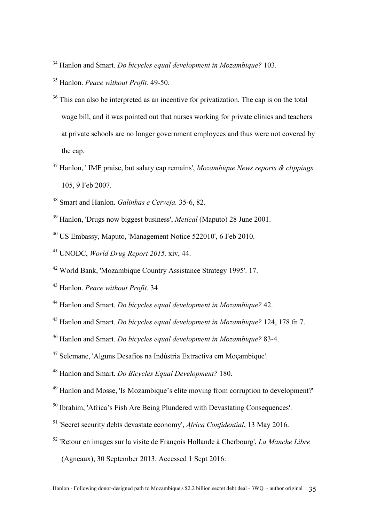Hanlon and Smart. *Do bicycles equal development in Mozambique?* 103.

Hanlon. *Peace without Profit.* 49-50.

- <sup>36</sup> This can also be interpreted as an incentive for privatization. The cap is on the total wage bill, and it was pointed out that nurses working for private clinics and teachers at private schools are no longer government employees and thus were not covered by the cap.
- Hanlon, ' IMF praise, but salary cap remains', *Mozambique News reports & clippings* 105, 9 Feb 2007.
- Smart and Hanlon. *Galinhas e Cerveja.* 35-6, 82.
- Hanlon, 'Drugs now biggest business', *Metical* (Maputo) 28 June 2001.
- US Embassy, Maputo, 'Management Notice 522010', 6 Feb 2010.
- UNODC, *World Drug Report 2015,* xiv, 44.
- World Bank, 'Mozambique Country Assistance Strategy 1995'. 17.

- Hanlon and Smart. *Do bicycles equal development in Mozambique?* 42.
- Hanlon and Smart. *Do bicycles equal development in Mozambique?* 124, 178 fn 7.
- Hanlon and Smart. *Do bicycles equal development in Mozambique?* 83-4.
- Selemane, 'Alguns Desafios na Indústria Extractiva em Moçambique'.
- Hanlon and Smart. *Do Bicycles Equal Development?* 180.
- Hanlon and Mosse, 'Is Mozambique's elite moving from corruption to development?'
- Ibrahim, 'Africa's Fish Are Being Plundered with Devastating Consequences'.
- 'Secret security debts devastate economy', *Africa Confidential*, 13 May 2016.
- 'Retour en images sur la visite de François Hollande à Cherbourg', *La Manche Libre*  (Agneaux), 30 September 2013. Accessed 1 Sept 2016:

Hanlon. *Peace without Profit.* 34